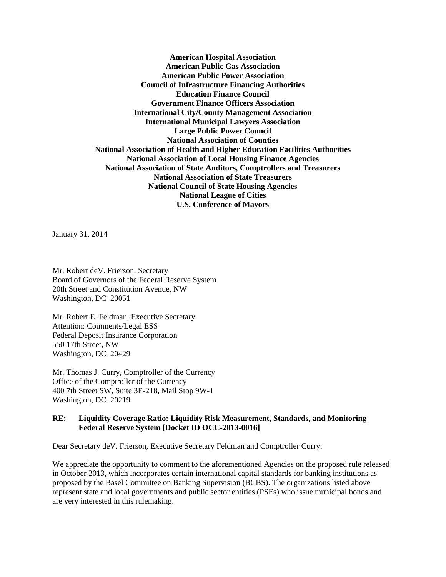**American Hospital Association American Public Gas Association American Public Power Association Council of Infrastructure Financing Authorities Education Finance Council Government Finance Officers Association International City/County Management Association International Municipal Lawyers Association Large Public Power Council National Association of Counties National Association of Health and Higher Education Facilities Authorities National Association of Local Housing Finance Agencies National Association of State Auditors, Comptrollers and Treasurers National Association of State Treasurers National Council of State Housing Agencies National League of Cities U.S. Conference of Mayors** 

January 31, 2014

Mr. Robert deV. Frierson, Secretary Board of Governors of the Federal Reserve System 20th Street and Constitution Avenue, NW Washington, DC 20051

Mr. Robert E. Feldman, Executive Secretary Attention: Comments/Legal ESS Federal Deposit Insurance Corporation 550 17th Street, NW Washington, DC 20429

Mr. Thomas J. Curry, Comptroller of the Currency Office of the Comptroller of the Currency 400 7th Street SW, Suite 3E-218, Mail Stop 9W-1 Washington, DC 20219

## **RE: Liquidity Coverage Ratio: Liquidity Risk Measurement, Standards, and Monitoring Federal Reserve System [Docket ID OCC-2013-0016]**

Dear Secretary deV. Frierson, Executive Secretary Feldman and Comptroller Curry:

We appreciate the opportunity to comment to the aforementioned Agencies on the proposed rule released in October 2013, which incorporates certain international capital standards for banking institutions as proposed by the Basel Committee on Banking Supervision (BCBS). The organizations listed above represent state and local governments and public sector entities (PSEs) who issue municipal bonds and are very interested in this rulemaking.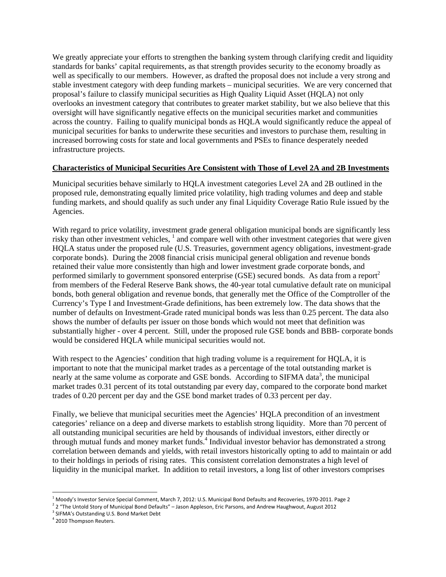We greatly appreciate your efforts to strengthen the banking system through clarifying credit and liquidity standards for banks' capital requirements, as that strength provides security to the economy broadly as well as specifically to our members. However, as drafted the proposal does not include a very strong and stable investment category with deep funding markets – municipal securities. We are very concerned that proposal's failure to classify municipal securities as High Quality Liquid Asset (HQLA) not only overlooks an investment category that contributes to greater market stability, but we also believe that this oversight will have significantly negative effects on the municipal securities market and communities across the country. Failing to qualify municipal bonds as HQLA would significantly reduce the appeal of municipal securities for banks to underwrite these securities and investors to purchase them, resulting in increased borrowing costs for state and local governments and PSEs to finance desperately needed infrastructure projects.

## **Characteristics of Municipal Securities Are Consistent with Those of Level 2A and 2B Investments**

Municipal securities behave similarly to HQLA investment categories Level 2A and 2B outlined in the proposed rule, demonstrating equally limited price volatility, high trading volumes and deep and stable funding markets, and should qualify as such under any final Liquidity Coverage Ratio Rule issued by the Agencies.

With regard to price volatility, investment grade general obligation municipal bonds are significantly less risky than other investment vehicles, <sup>1</sup> and compare well with other investment categories that were given HQLA status under the proposed rule (U.S. Treasuries, government agency obligations, investment-grade corporate bonds). During the 2008 financial crisis municipal general obligation and revenue bonds retained their value more consistently than high and lower investment grade corporate bonds, and performed similarly to government sponsored enterprise (GSE) secured bonds. As data from a report<sup>2</sup> from members of the Federal Reserve Bank shows, the 40-year total cumulative default rate on municipal bonds, both general obligation and revenue bonds, that generally met the Office of the Comptroller of the Currency's Type I and Investment-Grade definitions, has been extremely low. The data shows that the number of defaults on Investment-Grade rated municipal bonds was less than 0.25 percent. The data also shows the number of defaults per issuer on those bonds which would not meet that definition was substantially higher - over 4 percent. Still, under the proposed rule GSE bonds and BBB- corporate bonds would be considered HQLA while municipal securities would not.

With respect to the Agencies' condition that high trading volume is a requirement for HOLA, it is important to note that the municipal market trades as a percentage of the total outstanding market is nearly at the same volume as corporate and GSE bonds. According to SIFMA data<sup>3</sup>, the municipal market trades 0.31 percent of its total outstanding par every day, compared to the corporate bond market trades of 0.20 percent per day and the GSE bond market trades of 0.33 percent per day.

Finally, we believe that municipal securities meet the Agencies' HQLA precondition of an investment categories' reliance on a deep and diverse markets to establish strong liquidity. More than 70 percent of all outstanding municipal securities are held by thousands of individual investors, either directly or through mutual funds and money market funds.<sup>4</sup> Individual investor behavior has demonstrated a strong correlation between demands and yields, with retail investors historically opting to add to maintain or add to their holdings in periods of rising rates. This consistent correlation demonstrates a high level of liquidity in the municipal market. In addition to retail investors, a long list of other investors comprises

 $1$ Moody's Investor Service Special Comment, March 7, 2012: U.S. Municipal Bond Defaults and Recoveries, 1970-2011. Page 2

<sup>&</sup>lt;sup>2</sup> 2 "The Untold Story of Municipal Bond Defaults" – Jason Appleson, Eric Parsons, and Andrew Haughwout, August 2012<br><sup>3</sup> SIFMA's Outstanding U.S. Bond Market Debt

<sup>4</sup> 2010 Thompson Reuters.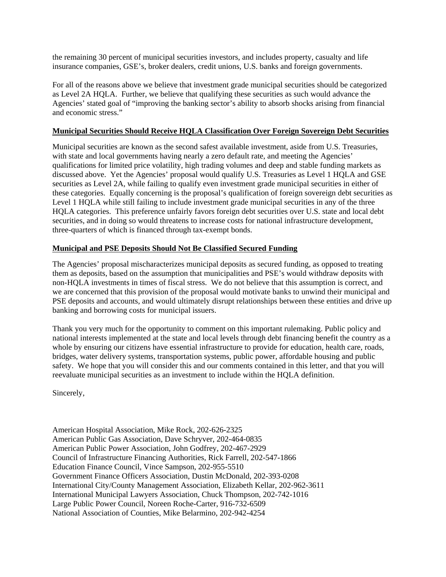the remaining 30 percent of municipal securities investors, and includes property, casualty and life insurance companies, GSE's, broker dealers, credit unions, U.S. banks and foreign governments.

For all of the reasons above we believe that investment grade municipal securities should be categorized as Level 2A HQLA. Further, we believe that qualifying these securities as such would advance the Agencies' stated goal of "improving the banking sector's ability to absorb shocks arising from financial and economic stress."

## **Municipal Securities Should Receive HQLA Classification Over Foreign Sovereign Debt Securities**

Municipal securities are known as the second safest available investment, aside from U.S. Treasuries, with state and local governments having nearly a zero default rate, and meeting the Agencies' qualifications for limited price volatility, high trading volumes and deep and stable funding markets as discussed above. Yet the Agencies' proposal would qualify U.S. Treasuries as Level 1 HQLA and GSE securities as Level 2A, while failing to qualify even investment grade municipal securities in either of these categories. Equally concerning is the proposal's qualification of foreign sovereign debt securities as Level 1 HQLA while still failing to include investment grade municipal securities in any of the three HQLA categories. This preference unfairly favors foreign debt securities over U.S. state and local debt securities, and in doing so would threatens to increase costs for national infrastructure development, three-quarters of which is financed through tax-exempt bonds.

## **Municipal and PSE Deposits Should Not Be Classified Secured Funding**

The Agencies' proposal mischaracterizes municipal deposits as secured funding, as opposed to treating them as deposits, based on the assumption that municipalities and PSE's would withdraw deposits with non-HQLA investments in times of fiscal stress. We do not believe that this assumption is correct, and we are concerned that this provision of the proposal would motivate banks to unwind their municipal and PSE deposits and accounts, and would ultimately disrupt relationships between these entities and drive up banking and borrowing costs for municipal issuers.

Thank you very much for the opportunity to comment on this important rulemaking. Public policy and national interests implemented at the state and local levels through debt financing benefit the country as a whole by ensuring our citizens have essential infrastructure to provide for education, health care, roads, bridges, water delivery systems, transportation systems, public power, affordable housing and public safety. We hope that you will consider this and our comments contained in this letter, and that you will reevaluate municipal securities as an investment to include within the HQLA definition.

Sincerely,

American Hospital Association, Mike Rock, 202-626-2325 American Public Gas Association, Dave Schryver, 202-464-0835 American Public Power Association, John Godfrey, 202-467-2929 Council of Infrastructure Financing Authorities, Rick Farrell, 202-547-1866 Education Finance Council, Vince Sampson, 202-955-5510 Government Finance Officers Association, Dustin McDonald, 202-393-0208 International City/County Management Association, Elizabeth Kellar, 202-962-3611 International Municipal Lawyers Association, Chuck Thompson, 202-742-1016 Large Public Power Council, Noreen Roche-Carter, 916-732-6509 National Association of Counties, Mike Belarmino, 202-942-4254